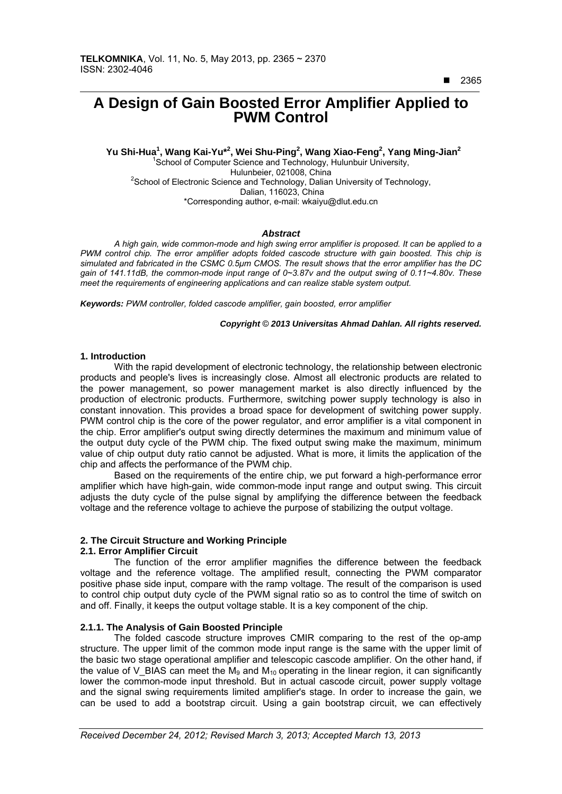# $\overline{a}$ **A Design of Gain Boosted Error Amplifier Applied to PWM Control**

 **Yu Shi-Hua1 , Wang Kai-Yu\*<sup>2</sup> , Wei Shu-Ping<sup>2</sup> , Wang Xiao-Feng<sup>2</sup> , Yang Ming-Jian2** <sup>1</sup>School of Computer Science and Technology, Hulunbuir University, Hulunbeier, 021008, China<br>School of Electronic Science and Technology, Dalian University of Technology, Dalian, 116023, China \*Corresponding author, e-mail: wkaiyu@dlut.edu.cn

## *Abstract*

*A high gain, wide common-mode and high swing error amplifier is proposed. It can be applied to a PWM control chip. The error amplifier adopts folded cascode structure with gain boosted. This chip is simulated and fabricated in the CSMC 0.5μm CMOS. The result shows that the error amplifier has the DC gain of 141.11dB, the common-mode input range of 0~3.87v and the output swing of 0.11~4.80v. These meet the requirements of engineering applications and can realize stable system output.* 

*Keywords: PWM controller, folded cascode amplifier, gain boosted, error amplifier* 

## *Copyright* © *2013 Universitas Ahmad Dahlan. All rights reserved.*

## **1. Introduction**

With the rapid development of electronic technology, the relationship between electronic products and people's lives is increasingly close. Almost all electronic products are related to the power management, so power management market is also directly influenced by the production of electronic products. Furthermore, switching power supply technology is also in constant innovation. This provides a broad space for development of switching power supply. PWM control chip is the core of the power regulator, and error amplifier is a vital component in the chip. Error amplifier's output swing directly determines the maximum and minimum value of the output duty cycle of the PWM chip. The fixed output swing make the maximum, minimum value of chip output duty ratio cannot be adjusted. What is more, it limits the application of the chip and affects the performance of the PWM chip.

Based on the requirements of the entire chip, we put forward a high-performance error amplifier which have high-gain, wide common-mode input range and output swing. This circuit adjusts the duty cycle of the pulse signal by amplifying the difference between the feedback voltage and the reference voltage to achieve the purpose of stabilizing the output voltage.

# **2. The Circuit Structure and Working Principle**

## **2.1. Error Amplifier Circuit**

The function of the error amplifier magnifies the difference between the feedback voltage and the reference voltage. The amplified result, connecting the PWM comparator positive phase side input, compare with the ramp voltage. The result of the comparison is used to control chip output duty cycle of the PWM signal ratio so as to control the time of switch on and off. Finally, it keeps the output voltage stable. It is a key component of the chip.

# **2.1.1. The Analysis of Gain Boosted Principle**

The folded cascode structure improves CMIR comparing to the rest of the op-amp structure. The upper limit of the common mode input range is the same with the upper limit of the basic two stage operational amplifier and telescopic cascode amplifier. On the other hand, if the value of V\_BIAS can meet the  $M_9$  and  $M_{10}$  operating in the linear region, it can significantly lower the common-mode input threshold. But in actual cascode circuit, power supply voltage and the signal swing requirements limited amplifier's stage. In order to increase the gain, we can be used to add a bootstrap circuit. Using a gain bootstrap circuit, we can effectively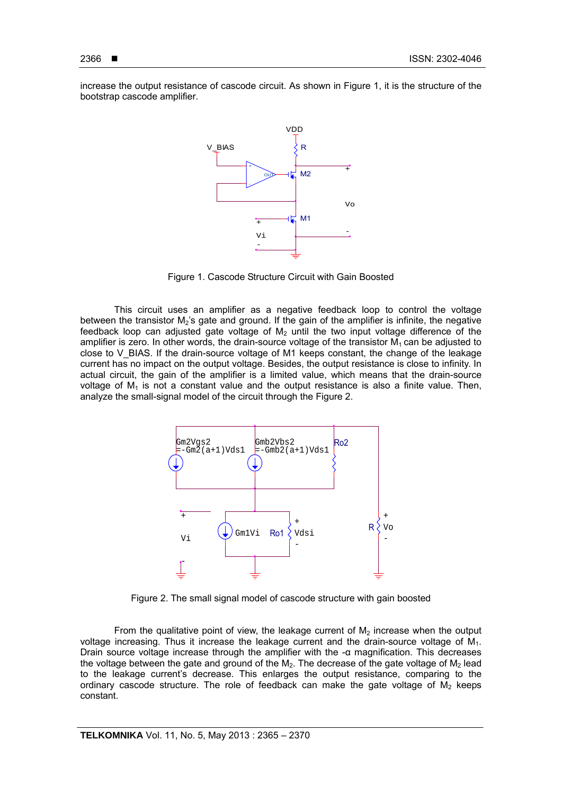increase the output resistance of cascode circuit. As shown in Figure 1, it is the structure of the bootstrap cascode amplifier.



Figure 1. Cascode Structure Circuit with Gain Boosted

This circuit uses an amplifier as a negative feedback loop to control the voltage between the transistor  $M_2$ 's gate and ground. If the gain of the amplifier is infinite, the negative feedback loop can adjusted gate voltage of  $M_2$  until the two input voltage difference of the amplifier is zero. In other words, the drain-source voltage of the transistor  $M_1$  can be adjusted to close to V\_BIAS. If the drain-source voltage of M1 keeps constant, the change of the leakage current has no impact on the output voltage. Besides, the output resistance is close to infinity. In actual circuit, the gain of the amplifier is a limited value, which means that the drain-source voltage of  $M_1$  is not a constant value and the output resistance is also a finite value. Then, analyze the small-signal model of the circuit through the Figure 2.



Figure 2. The small signal model of cascode structure with gain boosted

From the qualitative point of view, the leakage current of  $M<sub>2</sub>$  increase when the output voltage increasing. Thus it increase the leakage current and the drain-source voltage of  $M<sub>1</sub>$ . Drain source voltage increase through the amplifier with the -α magnification. This decreases the voltage between the gate and ground of the  $M_2$ . The decrease of the gate voltage of  $M_2$  lead to the leakage current's decrease. This enlarges the output resistance, comparing to the ordinary cascode structure. The role of feedback can make the gate voltage of  $M<sub>2</sub>$  keeps constant.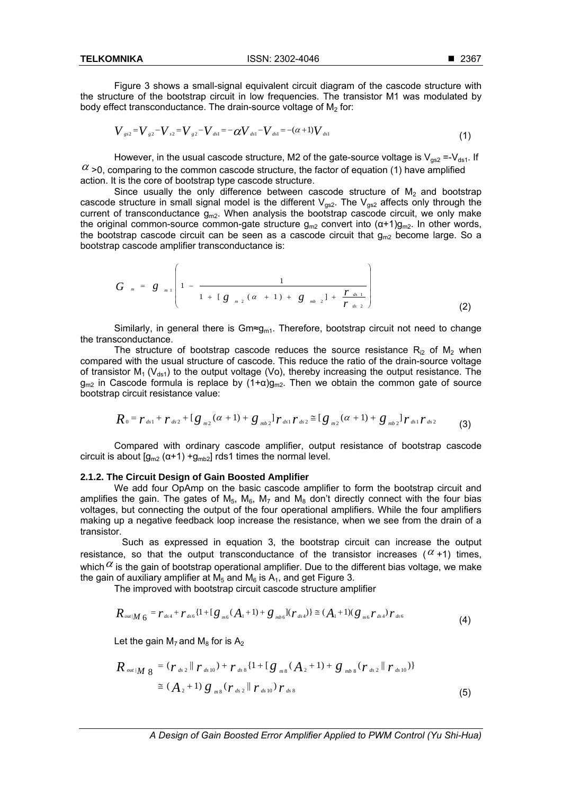Figure 3 shows a small-signal equivalent circuit diagram of the cascode structure with the structure of the bootstrap circuit in low frequencies. The transistor M1 was modulated by body effect transconductance. The drain-source voltage of  $M<sub>2</sub>$  for:

$$
V_{gs2} = V_{g2} - V_{s2} = V_{g2} - V_{ds1} = -\alpha V_{ds1} - V_{ds1} = -(\alpha+1)V_{ds1}
$$
\n(1)

However, in the usual cascode structure, M2 of the gate-source voltage is  $V_{\text{gs2}} = V_{\text{ds1}}$ . If  $\alpha$  >0, comparing to the common cascode structure, the factor of equation (1) have amplified action. It is the core of bootstrap type cascode structure.

Since usually the only difference between cascode structure of  $M<sub>2</sub>$  and bootstrap cascode structure in small signal model is the different  $V_{\text{gs2}}$ . The  $V_{\text{gs2}}$  affects only through the current of transconductance  $\bar{g}_{m2}$ . When analysis the bootstrap cascode circuit, we only make the original common-source common-gate structure  $q_{m2}$  convert into  $(\alpha+1)q_{m2}$ . In other words, the bootstrap cascode circuit can be seen as a cascode circuit that  $g_{m2}$  become large. So a bootstrap cascode amplifier transconductance is:

$$
G_{m} = g_{m1}\left(1 - \frac{1}{1 + [g_{m2}(\alpha + 1) + g_{m3} + \frac{r_{ds1}}{r_{ds2}}}\right)
$$
\n(2)

Similarly, in general there is Gm≈g<sub>m1</sub>. Therefore, bootstrap circuit not need to change the transconductance.

The structure of bootstrap cascode reduces the source resistance  $R_{i2}$  of  $M_2$  when compared with the usual structure of cascode. This reduce the ratio of the drain-source voltage of transistor  $M_1$  (V<sub>ds1</sub>) to the output voltage (Vo), thereby increasing the output resistance. The  $g_{m2}$  in Cascode formula is replace by  $(1+\alpha)g_{m2}$ . Then we obtain the common gate of source bootstrap circuit resistance value:

$$
R_0 = r_{ds1} + r_{ds2} + [g_{m2}(\alpha + 1) + g_{mb2}]r_{ds1}r_{ds2} \approx [g_{m2}(\alpha + 1) + g_{mb2}]r_{ds1}r_{ds2}
$$
 (3)

Compared with ordinary cascode amplifier, output resistance of bootstrap cascode circuit is about  $[g_{m2} (\alpha + 1) + g_{m2}]$  rds1 times the normal level.

## **2.1.2. The Circuit Design of Gain Boosted Amplifier**

We add four OpAmp on the basic cascode amplifier to form the bootstrap circuit and amplifies the gain. The gates of  $M_5$ ,  $M_6$ ,  $M_7$  and  $M_8$  don't directly connect with the four bias voltages, but connecting the output of the four operational amplifiers. While the four amplifiers making up a negative feedback loop increase the resistance, when we see from the drain of a transistor.

 Such as expressed in equation 3, the bootstrap circuit can increase the output resistance, so that the output transconductance of the transistor increases ( $\alpha$ +1) times, which  $\alpha$  is the gain of bootstrap operational amplifier. Due to the different bias voltage, we make the gain of auxiliary amplifier at  $M_5$  and  $M_6$  is  $A_1$ , and get Figure 3.

The improved with bootstrap circuit cascode structure amplifier

$$
R_{\text{out}|M|6} = r_{\text{ds}4} + r_{\text{ds}6} \{1 + [g_{\text{m}6}(A_1 + 1) + g_{\text{mb}6}](r_{\text{ds}4})\} \cong (A_1 + 1)(g_{\text{m}6}r_{\text{ds}4})r_{\text{ds}6}
$$
(4)

Let the gain  $M_7$  and  $M_8$  for is  $A_2$ 

$$
R_{out|M} g = (r_{ds2} || r_{ds10}) + r_{ds8} \{1 + [g_{ms}(A_2 + 1) + g_{mb8}(r_{ds2} || r_{ds10})\}\n\n\cong (A_2 + 1) g_{ms} (r_{ds2} || r_{ds10}) r_{ds8}
$$
\n(5)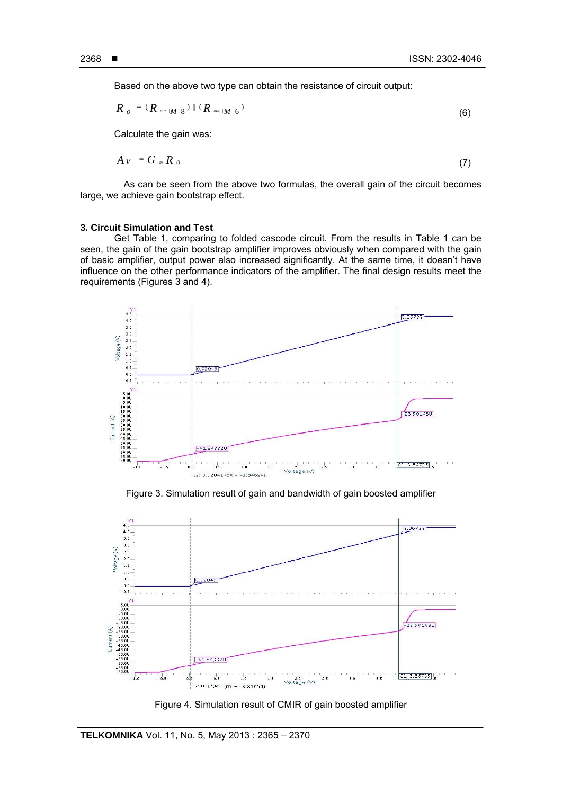Based on the above two type can obtain the resistance of circuit output:

$$
R_o = (R_{out}|_{M_8}) \parallel (R_{out}|_{M_6})
$$
\n(6)

Calculate the gain was:

$$
A_V = G_{m} R_o \tag{7}
$$

As can be seen from the above two formulas, the overall gain of the circuit becomes large, we achieve gain bootstrap effect.

#### **3. Circuit Simulation and Test**

Get Table 1, comparing to folded cascode circuit. From the results in Table 1 can be seen, the gain of the gain bootstrap amplifier improves obviously when compared with the gain of basic amplifier, output power also increased significantly. At the same time, it doesn't have influence on the other performance indicators of the amplifier. The final design results meet the requirements (Figures 3 and 4).



Figure 3. Simulation result of gain and bandwidth of gain boosted amplifier



Figure 4. Simulation result of CMIR of gain boosted amplifier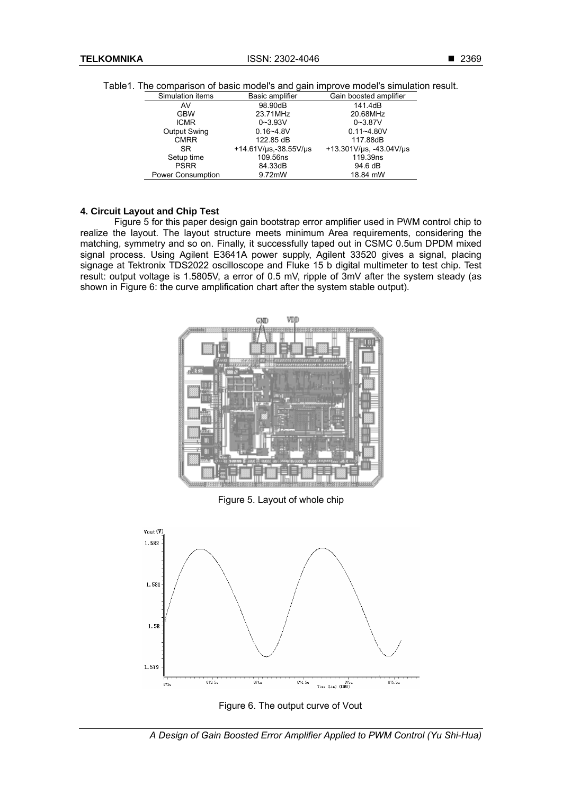**TELKOMNIKA** ISSN: 2302-4046

|  |  |  |  |  |  |  |  | Table1. The comparison of basic model's and gain improve model's simulation result. |  |
|--|--|--|--|--|--|--|--|-------------------------------------------------------------------------------------|--|
|--|--|--|--|--|--|--|--|-------------------------------------------------------------------------------------|--|

| Simulation items         | Basic amplifier       | Gain boosted amplifier  |  |  |
|--------------------------|-----------------------|-------------------------|--|--|
| AV                       | 98.90dB               | 141.4dB                 |  |  |
| <b>GBW</b>               | 23.71MHz              | 20.68MHz                |  |  |
| <b>ICMR</b>              | $0 - 3.93V$           | $0 - 3.87V$             |  |  |
| <b>Output Swing</b>      | $0.16 - 4.8V$         | $0.11 - 4.80V$          |  |  |
| <b>CMRR</b>              | 122.85 dB             | 117.88dB                |  |  |
| SR.                      | +14.61V/us,-38.55V/us | +13.301V/us, -43.04V/us |  |  |
| Setup time               | 109.56ns              | 119.39ns                |  |  |
| <b>PSRR</b>              | 84.33dB               | 94.6 dB                 |  |  |
| <b>Power Consumption</b> | 9.72mW                | 18.84 mW                |  |  |

# **4. Circuit Layout and Chip Test**

Figure 5 for this paper design gain bootstrap error amplifier used in PWM control chip to realize the layout. The layout structure meets minimum Area requirements, considering the matching, symmetry and so on. Finally, it successfully taped out in CSMC 0.5um DPDM mixed signal process. Using Agilent E3641A power supply, Agilent 33520 gives a signal, placing signage at Tektronix TDS2022 oscilloscope and Fluke 15 b digital multimeter to test chip. Test result: output voltage is 1.5805V, a error of 0.5 mV, ripple of 3mV after the system steady (as shown in Figure 6: the curve amplification chart after the system stable output).



Figure 6. The output curve of Vout

*A Design of Gain Boosted Error Amplifier Applied to PWM Control (Yu Shi-Hua)*